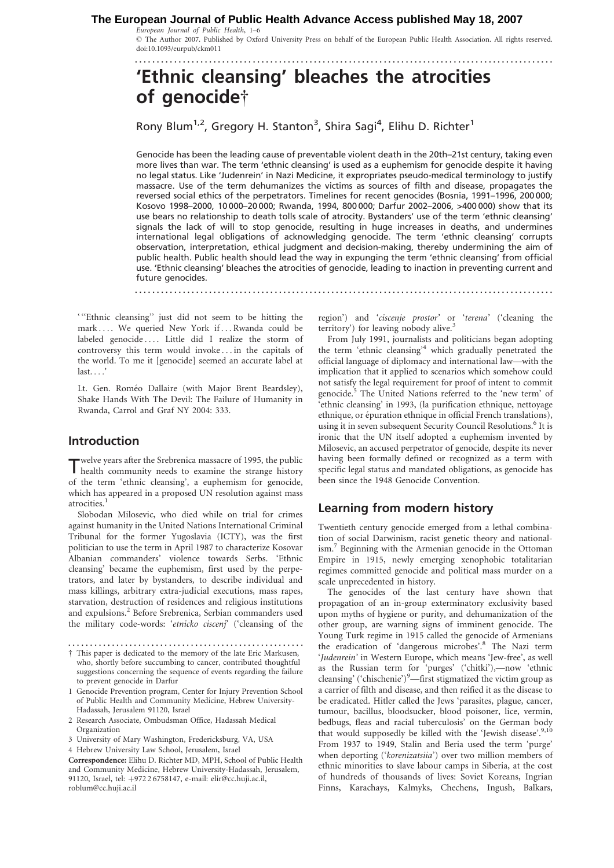#### **The European Journal of Public Health Advance Access published May 18, 2007**

................................................................................................ European Journal of Public Health, 1–6 The Author 2007. Published by Oxford University Press on behalf of the European Public Health Association. All rights reserved. doi:10.1093/eurpub/ckm011

# 'Ethnic cleansing' bleaches the atrocities of genocide<sup>†</sup>

Rony Blum<sup>1,2</sup>, Gregory H. Stanton<sup>3</sup>, Shira Sagi<sup>4</sup>, Elihu D. Richter<sup>1</sup>

Genocide has been the leading cause of preventable violent death in the 20th–21st century, taking even more lives than war. The term 'ethnic cleansing' is used as a euphemism for genocide despite it having no legal status. Like 'Judenrein' in Nazi Medicine, it expropriates pseudo-medical terminology to justify massacre. Use of the term dehumanizes the victims as sources of filth and disease, propagates the reversed social ethics of the perpetrators. Timelines for recent genocides (Bosnia, 1991–1996, 200 000; Kosovo 1998–2000, 10 000–20 000; Rwanda, 1994, 800 000; Darfur 2002–2006, >400 000) show that its use bears no relationship to death tolls scale of atrocity. Bystanders' use of the term 'ethnic cleansing' signals the lack of will to stop genocide, resulting in huge increases in deaths, and undermines international legal obligations of acknowledging genocide. The term 'ethnic cleansing' corrupts observation, interpretation, ethical judgment and decision-making, thereby undermining the aim of public health. Public health should lead the way in expunging the term 'ethnic cleansing' from official use. 'Ethnic cleansing' bleaches the atrocities of genocide, leading to inaction in preventing current and future genocides.

................................................................................................

' ''Ethnic cleansing'' just did not seem to be hitting the mark ... . We queried New York if ... Rwanda could be labeled genocide .... Little did I realize the storm of controversy this term would invoke ... in the capitals of the world. To me it [genocide] seemed an accurate label at  $last. . . .$ 

Lt. Gen. Roméo Dallaire (with Major Brent Beardsley), Shake Hands With The Devil: The Failure of Humanity in Rwanda, Carrol and Graf NY 2004: 333.

## Introduction

Twelve years after the Srebrenica massacre of 1995, the public health community needs to examine the strange history of the term 'ethnic cleansing', a euphemism for genocide, which has appeared in a proposed UN resolution against mass atrocities.<sup>1</sup>

Slobodan Milosevic, who died while on trial for crimes against humanity in the United Nations International Criminal Tribunal for the former Yugoslavia (ICTY), was the first politician to use the term in April 1987 to characterize Kosovar Albanian commanders' violence towards Serbs. 'Ethnic cleansing' became the euphemism, first used by the perpetrators, and later by bystanders, to describe individual and mass killings, arbitrary extra-judicial executions, mass rapes, starvation, destruction of residences and religious institutions and expulsions.<sup>2</sup> Before Srebrenica, Serbian commanders used the military code-words: 'etnicko ciscenj' ('cleansing of the

- 1 Genocide Prevention program, Center for Injury Prevention School of Public Health and Community Medicine, Hebrew University-Hadassah, Jerusalem 91120, Israel
- 2 Research Associate, Ombudsman Office, Hadassah Medical Organization
- 3 University of Mary Washington, Fredericksburg, VA, USA
- 4 Hebrew University Law School, Jerusalem, Israel

Correspondence: Elihu D. Richter MD, MPH, School of Public Health and Community Medicine, Hebrew University-Hadassah, Jerusalem, 91120, Israel, tel: +972 2 6758147, e-mail: elir@cc.huji.ac.il, roblum@cc.huji.ac.il

region') and 'ciscenje prostor' or 'terena' ('cleaning the territory') for leaving nobody alive.<sup>3</sup>

From July 1991, journalists and politicians began adopting the term 'ethnic cleansing'<sup>4</sup> which gradually penetrated the official language of diplomacy and international law—with the implication that it applied to scenarios which somehow could not satisfy the legal requirement for proof of intent to commit genocide.<sup>5</sup> The United Nations referred to the 'new term' of 'ethnic cleansing' in 1993, (la purification ethnique, nettoyage ethnique, or épuration ethnique in official French translations), using it in seven subsequent Security Council Resolutions.<sup>6</sup> It is ironic that the UN itself adopted a euphemism invented by Milosevic, an accused perpetrator of genocide, despite its never having been formally defined or recognized as a term with specific legal status and mandated obligations, as genocide has been since the 1948 Genocide Convention.

## Learning from modern history

Twentieth century genocide emerged from a lethal combination of social Darwinism, racist genetic theory and nationalism.<sup>7</sup> Beginning with the Armenian genocide in the Ottoman Empire in 1915, newly emerging xenophobic totalitarian regimes committed genocide and political mass murder on a scale unprecedented in history.

The genocides of the last century have shown that propagation of an in-group exterminatory exclusivity based upon myths of hygiene or purity, and dehumanization of the other group, are warning signs of imminent genocide. The Young Turk regime in 1915 called the genocide of Armenians the eradication of 'dangerous microbes'.<sup>8</sup> The Nazi term 'Judenrein' in Western Europe, which means 'Jew-free', as well as the Russian term for 'purges' ('chitki'),—now 'ethnic cleansing' ('chischenie')<sup>9</sup>—first stigmatized the victim group as a carrier of filth and disease, and then reified it as the disease to be eradicated. Hitler called the Jews 'parasites, plague, cancer, tumour, bacillus, bloodsucker, blood poisoner, lice, vermin, bedbugs, fleas and racial tuberculosis' on the German body that would supposedly be killed with the 'Jewish disease'.<sup>9,10</sup> From 1937 to 1949, Stalin and Beria used the term 'purge' when deporting ('korenizatsiia') over two million members of ethnic minorities to slave labour camps in Siberia, at the cost of hundreds of thousands of lives: Soviet Koreans, Ingrian Finns, Karachays, Kalmyks, Chechens, Ingush, Balkars,

 $\dagger$  This paper is dedicated to the memory of the late Eric Markusen, who, shortly before succumbing to cancer, contributed thoughtful suggestions concerning the sequence of events regarding the failure to prevent genocide in Darfur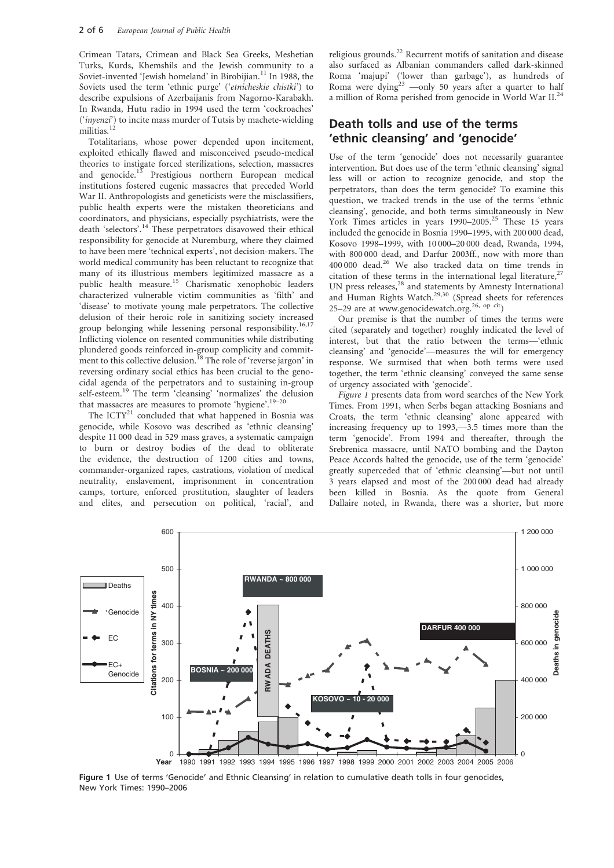Crimean Tatars, Crimean and Black Sea Greeks, Meshetian Turks, Kurds, Khemshils and the Jewish community to a Soviet-invented 'Jewish homeland' in Birobijian.<sup>11</sup> In 1988, the Soviets used the term 'ethnic purge' ('etnicheskie chistki') to describe expulsions of Azerbaijanis from Nagorno-Karabakh. In Rwanda, Hutu radio in 1994 used the term 'cockroaches' ('inyenzi') to incite mass murder of Tutsis by machete-wielding militias.<sup>12</sup>

Totalitarians, whose power depended upon incitement, exploited ethically flawed and misconceived pseudo-medical theories to instigate forced sterilizations, selection, massacres and genocide.<sup>13</sup> Prestigious northern European medical institutions fostered eugenic massacres that preceded World War II. Anthropologists and geneticists were the misclassifiers, public health experts were the mistaken theoreticians and coordinators, and physicians, especially psychiatrists, were the death 'selectors'.<sup>14</sup> These perpetrators disavowed their ethical responsibility for genocide at Nuremburg, where they claimed to have been mere 'technical experts', not decision-makers. The world medical community has been reluctant to recognize that many of its illustrious members legitimized massacre as a public health measure.<sup>15</sup> Charismatic xenophobic leaders characterized vulnerable victim communities as 'filth' and 'disease' to motivate young male perpetrators. The collective delusion of their heroic role in sanitizing society increased group belonging while lessening personal responsibility.<sup>16,17</sup> Inflicting violence on resented communities while distributing plundered goods reinforced in-group complicity and commitment to this collective delusion.<sup>18</sup> The role of 'reverse jargon' in reversing ordinary social ethics has been crucial to the genocidal agenda of the perpetrators and to sustaining in-group self-esteem.<sup>19</sup> The term 'cleansing' 'normalizes' the delusion that massacres are measures to promote 'hygiene'.<sup>19-20</sup>

The ICTY<sup>21</sup> concluded that what happened in Bosnia was genocide, while Kosovo was described as 'ethnic cleansing' despite 11 000 dead in 529 mass graves, a systematic campaign to burn or destroy bodies of the dead to obliterate the evidence, the destruction of 1200 cities and towns, commander-organized rapes, castrations, violation of medical neutrality, enslavement, imprisonment in concentration camps, torture, enforced prostitution, slaughter of leaders and elites, and persecution on political, 'racial', and religious grounds.<sup>22</sup> Recurrent motifs of sanitation and disease also surfaced as Albanian commanders called dark-skinned Roma 'majupi' ('lower than garbage'), as hundreds of Roma were dying<sup>23</sup> —only 50 years after a quarter to half a million of Roma perished from genocide in World War II.<sup>24</sup>

## Death tolls and use of the terms 'ethnic cleansing' and 'genocide'

Use of the term 'genocide' does not necessarily guarantee intervention. But does use of the term 'ethnic cleansing' signal less will or action to recognize genocide, and stop the perpetrators, than does the term genocide? To examine this question, we tracked trends in the use of the terms 'ethnic cleansing', genocide, and both terms simultaneously in New York Times articles in years 1990–2005.<sup>25</sup> These 15 years included the genocide in Bosnia 1990–1995, with 200 000 dead, Kosovo 1998–1999, with 10 000–20 000 dead, Rwanda, 1994, with 800 000 dead, and Darfur 2003ff., now with more than 400 000 dead.<sup>26</sup> We also tracked data on time trends in citation of these terms in the international legal literature, $27$ UN press releases,<sup>28</sup> and statements by Amnesty International and Human Rights Watch.<sup>29,30</sup> (Spread sheets for references 25–29 are at www.genocidewatch.org.<sup>26, op cit</sup>)

Our premise is that the number of times the terms were cited (separately and together) roughly indicated the level of interest, but that the ratio between the terms—'ethnic cleansing' and 'genocide'—measures the will for emergency response. We surmised that when both terms were used together, the term 'ethnic cleansing' conveyed the same sense of urgency associated with 'genocide'.

Figure 1 presents data from word searches of the New York Times. From 1991, when Serbs began attacking Bosnians and Croats, the term 'ethnic cleansing' alone appeared with increasing frequency up to 1993,—3.5 times more than the term 'genocide'. From 1994 and thereafter, through the Srebrenica massacre, until NATO bombing and the Dayton Peace Accords halted the genocide, use of the term 'genocide' greatly superceded that of 'ethnic cleansing'—but not until 3 years elapsed and most of the 200 000 dead had already been killed in Bosnia. As the quote from General Dallaire noted, in Rwanda, there was a shorter, but more



Figure 1 Use of terms 'Genocide' and Ethnic Cleansing' in relation to cumulative death tolls in four genocides, New York Times: 1990–2006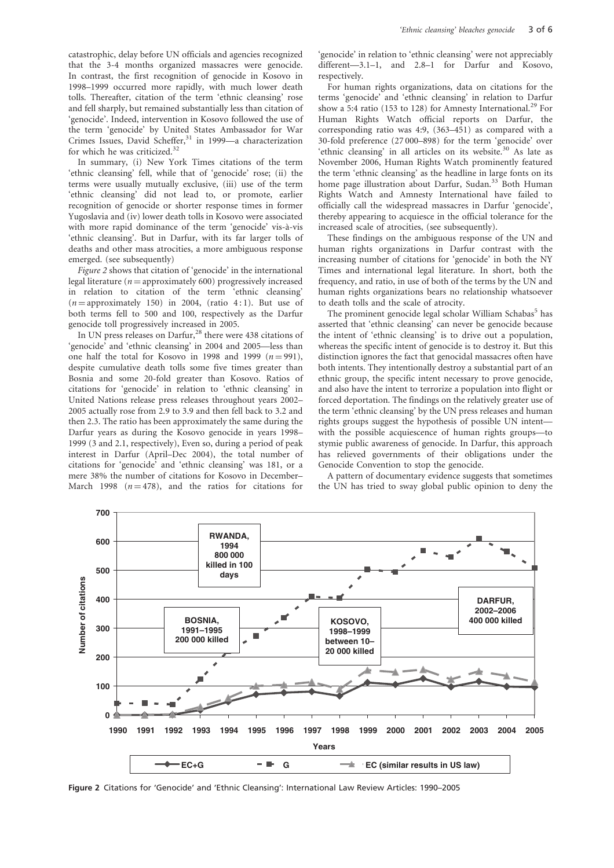catastrophic, delay before UN officials and agencies recognized that the 3-4 months organized massacres were genocide. In contrast, the first recognition of genocide in Kosovo in 1998–1999 occurred more rapidly, with much lower death tolls. Thereafter, citation of the term 'ethnic cleansing' rose and fell sharply, but remained substantially less than citation of 'genocide'. Indeed, intervention in Kosovo followed the use of the term 'genocide' by United States Ambassador for War Crimes Issues, David Scheffer,<sup>31</sup> in 1999—a characterization for which he was criticized.<sup>32</sup>

In summary, (i) New York Times citations of the term 'ethnic cleansing' fell, while that of 'genocide' rose; (ii) the terms were usually mutually exclusive, (iii) use of the term 'ethnic cleansing' did not lead to, or promote, earlier recognition of genocide or shorter response times in former Yugoslavia and (iv) lower death tolls in Kosovo were associated with more rapid dominance of the term 'genocide' vis-à-vis 'ethnic cleansing'. But in Darfur, with its far larger tolls of deaths and other mass atrocities, a more ambiguous response emerged. (see subsequently)

Figure 2 shows that citation of 'genocide' in the international legal literature ( $n =$ approximately 600) progressively increased in relation to citation of the term 'ethnic cleansing'  $(n = approximately 150)$  in 2004, (ratio 4:1). But use of both terms fell to 500 and 100, respectively as the Darfur genocide toll progressively increased in 2005.

In UN press releases on Darfur,<sup>28</sup> there were 438 citations of 'genocide' and 'ethnic cleansing' in 2004 and 2005—less than one half the total for Kosovo in 1998 and 1999  $(n = 991)$ , despite cumulative death tolls some five times greater than Bosnia and some 20-fold greater than Kosovo. Ratios of citations for 'genocide' in relation to 'ethnic cleansing' in United Nations release press releases throughout years 2002– 2005 actually rose from 2.9 to 3.9 and then fell back to 3.2 and then 2.3. The ratio has been approximately the same during the Darfur years as during the Kosovo genocide in years 1998– 1999 (3 and 2.1, respectively), Even so, during a period of peak interest in Darfur (April–Dec 2004), the total number of citations for 'genocide' and 'ethnic cleansing' was 181, or a mere 38% the number of citations for Kosovo in December– March 1998 ( $n = 478$ ), and the ratios for citations for

'genocide' in relation to 'ethnic cleansing' were not appreciably different—3.1–1, and 2.8–1 for Darfur and Kosovo, respectively.

For human rights organizations, data on citations for the terms 'genocide' and 'ethnic cleansing' in relation to Darfur show a 5:4 ratio (153 to 128) for Amnesty International.<sup>29</sup> For Human Rights Watch official reports on Darfur, the corresponding ratio was 4:9, (363–451) as compared with a 30-fold preference (27 000–898) for the term 'genocide' over 'ethnic cleansing' in all articles on its website.<sup>30</sup> As late as November 2006, Human Rights Watch prominently featured the term 'ethnic cleansing' as the headline in large fonts on its home page illustration about Darfur, Sudan.<sup>33</sup> Both Human Rights Watch and Amnesty International have failed to officially call the widespread massacres in Darfur 'genocide', thereby appearing to acquiesce in the official tolerance for the increased scale of atrocities, (see subsequently).

These findings on the ambiguous response of the UN and human rights organizations in Darfur contrast with the increasing number of citations for 'genocide' in both the NY Times and international legal literature. In short, both the frequency, and ratio, in use of both of the terms by the UN and human rights organizations bears no relationship whatsoever to death tolls and the scale of atrocity.

The prominent genocide legal scholar William Schabas<sup>5</sup> has asserted that 'ethnic cleansing' can never be genocide because the intent of 'ethnic cleansing' is to drive out a population, whereas the specific intent of genocide is to destroy it. But this distinction ignores the fact that genocidal massacres often have both intents. They intentionally destroy a substantial part of an ethnic group, the specific intent necessary to prove genocide, and also have the intent to terrorize a population into flight or forced deportation. The findings on the relatively greater use of the term 'ethnic cleansing' by the UN press releases and human rights groups suggest the hypothesis of possible UN intent with the possible acquiescence of human rights groups—to stymie public awareness of genocide. In Darfur, this approach has relieved governments of their obligations under the Genocide Convention to stop the genocide.

A pattern of documentary evidence suggests that sometimes the UN has tried to sway global public opinion to deny the



Figure 2 Citations for 'Genocide' and 'Ethnic Cleansing': International Law Review Articles: 1990–2005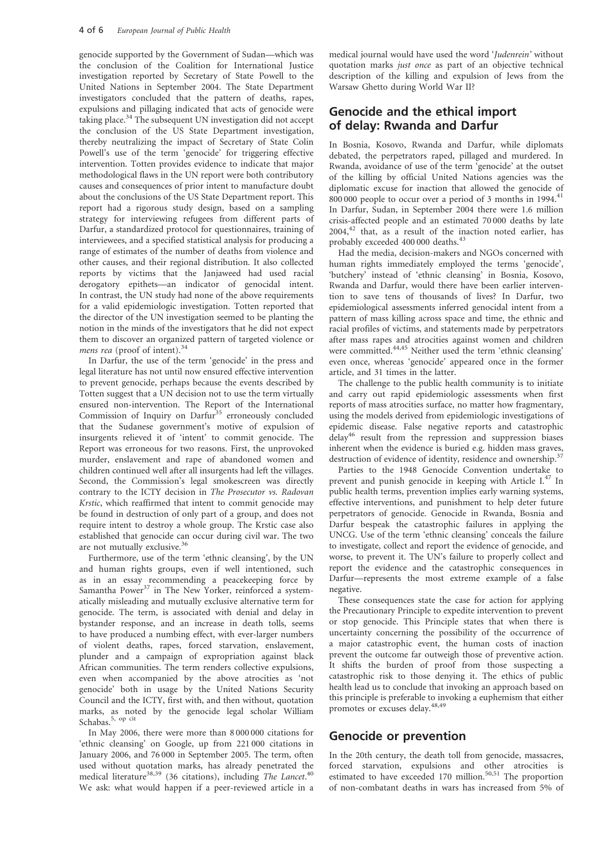genocide supported by the Government of Sudan—which was the conclusion of the Coalition for International Justice investigation reported by Secretary of State Powell to the United Nations in September 2004. The State Department investigators concluded that the pattern of deaths, rapes, expulsions and pillaging indicated that acts of genocide were taking place.<sup>34</sup> The subsequent UN investigation did not accept the conclusion of the US State Department investigation, thereby neutralizing the impact of Secretary of State Colin Powell's use of the term 'genocide' for triggering effective intervention. Totten provides evidence to indicate that major methodological flaws in the UN report were both contributory causes and consequences of prior intent to manufacture doubt about the conclusions of the US State Department report. This report had a rigorous study design, based on a sampling strategy for interviewing refugees from different parts of Darfur, a standardized protocol for questionnaires, training of interviewees, and a specified statistical analysis for producing a range of estimates of the number of deaths from violence and other causes, and their regional distribution. It also collected reports by victims that the Janjaweed had used racial derogatory epithets—an indicator of genocidal intent. In contrast, the UN study had none of the above requirements for a valid epidemiologic investigation. Totten reported that the director of the UN investigation seemed to be planting the notion in the minds of the investigators that he did not expect them to discover an organized pattern of targeted violence or mens rea (proof of intent).<sup>34</sup>

In Darfur, the use of the term 'genocide' in the press and legal literature has not until now ensured effective intervention to prevent genocide, perhaps because the events described by Totten suggest that a UN decision not to use the term virtually ensured non-intervention. The Report of the International Commission of Inquiry on Darfur<sup>35</sup> erroneously concluded that the Sudanese government's motive of expulsion of insurgents relieved it of 'intent' to commit genocide. The Report was erroneous for two reasons. First, the unprovoked murder, enslavement and rape of abandoned women and children continued well after all insurgents had left the villages. Second, the Commission's legal smokescreen was directly contrary to the ICTY decision in The Prosecutor vs. Radovan Krstic, which reaffirmed that intent to commit genocide may be found in destruction of only part of a group, and does not require intent to destroy a whole group. The Krstic case also established that genocide can occur during civil war. The two are not mutually exclusive.<sup>36</sup>

Furthermore, use of the term 'ethnic cleansing', by the UN and human rights groups, even if well intentioned, such as in an essay recommending a peacekeeping force by Samantha Power<sup>37</sup> in The New Yorker, reinforced a systematically misleading and mutually exclusive alternative term for genocide. The term, is associated with denial and delay in bystander response, and an increase in death tolls, seems to have produced a numbing effect, with ever-larger numbers of violent deaths, rapes, forced starvation, enslavement, plunder and a campaign of expropriation against black African communities. The term renders collective expulsions, even when accompanied by the above atrocities as 'not genocide' both in usage by the United Nations Security Council and the ICTY, first with, and then without, quotation marks, as noted by the genocide legal scholar William Schabas.<sup>5, op cit</sup>

In May 2006, there were more than 8 000 000 citations for 'ethnic cleansing' on Google, up from 221 000 citations in January 2006, and 76 000 in September 2005. The term, often used without quotation marks, has already penetrated the medical literature<sup>38,39</sup> (36 citations), including The Lancet.<sup>40</sup> We ask: what would happen if a peer-reviewed article in a medical journal would have used the word 'Judenrein' without quotation marks just once as part of an objective technical description of the killing and expulsion of Jews from the Warsaw Ghetto during World War II?

## Genocide and the ethical import of delay: Rwanda and Darfur

In Bosnia, Kosovo, Rwanda and Darfur, while diplomats debated, the perpetrators raped, pillaged and murdered. In Rwanda, avoidance of use of the term 'genocide' at the outset of the killing by official United Nations agencies was the diplomatic excuse for inaction that allowed the genocide of 800 000 people to occur over a period of 3 months in  $1994$ <sup>41</sup> In Darfur, Sudan, in September 2004 there were 1.6 million crisis-affected people and an estimated 70 000 deaths by late  $2004<sub>1</sub><sup>42</sup>$  that, as a result of the inaction noted earlier, has probably exceeded 400 000 deaths.<sup>43</sup>

Had the media, decision-makers and NGOs concerned with human rights immediately employed the terms 'genocide', 'butchery' instead of 'ethnic cleansing' in Bosnia, Kosovo, Rwanda and Darfur, would there have been earlier intervention to save tens of thousands of lives? In Darfur, two epidemiological assessments inferred genocidal intent from a pattern of mass killing across space and time, the ethnic and racial profiles of victims, and statements made by perpetrators after mass rapes and atrocities against women and children were committed.<sup>44,45</sup> Neither used the term 'ethnic cleansing' even once, whereas 'genocide' appeared once in the former article, and 31 times in the latter.

The challenge to the public health community is to initiate and carry out rapid epidemiologic assessments when first reports of mass atrocities surface, no matter how fragmentary, using the models derived from epidemiologic investigations of epidemic disease. False negative reports and catastrophic delay<sup>46</sup> result from the repression and suppression biases inherent when the evidence is buried e.g. hidden mass graves, destruction of evidence of identity, residence and ownership.<sup>37</sup>

Parties to the 1948 Genocide Convention undertake to prevent and punish genocide in keeping with Article I.<sup>47</sup> In public health terms, prevention implies early warning systems, effective interventions, and punishment to help deter future perpetrators of genocide. Genocide in Rwanda, Bosnia and Darfur bespeak the catastrophic failures in applying the UNCG. Use of the term 'ethnic cleansing' conceals the failure to investigate, collect and report the evidence of genocide, and worse, to prevent it. The UN's failure to properly collect and report the evidence and the catastrophic consequences in Darfur—represents the most extreme example of a false negative.

These consequences state the case for action for applying the Precautionary Principle to expedite intervention to prevent or stop genocide. This Principle states that when there is uncertainty concerning the possibility of the occurrence of a major catastrophic event, the human costs of inaction prevent the outcome far outweigh those of preventive action. It shifts the burden of proof from those suspecting a catastrophic risk to those denying it. The ethics of public health lead us to conclude that invoking an approach based on this principle is preferable to invoking a euphemism that either promotes or excuses delay.<sup>48,49</sup>

#### Genocide or prevention

In the 20th century, the death toll from genocide, massacres, forced starvation, expulsions and other atrocities is estimated to have exceeded 170 million.<sup>50,51</sup> The proportion of non-combatant deaths in wars has increased from 5% of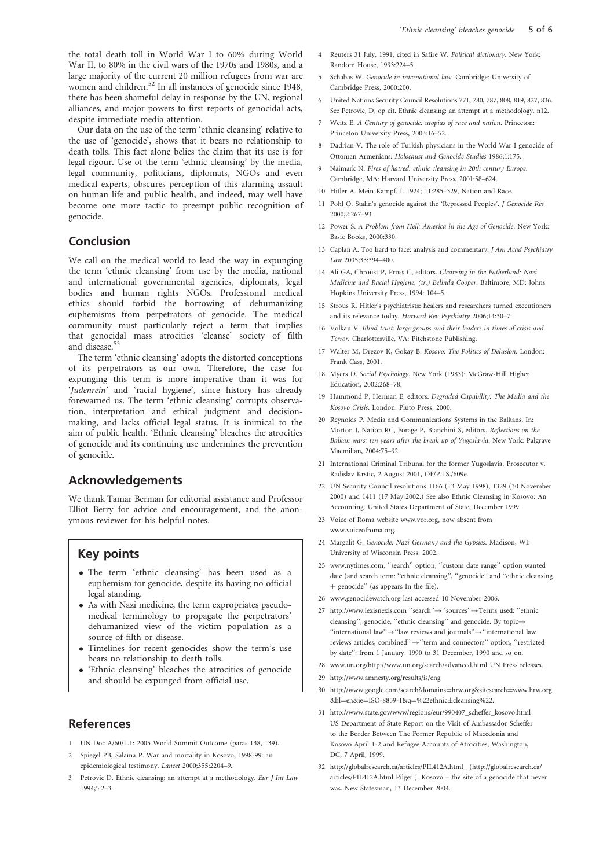the total death toll in World War I to 60% during World War II, to 80% in the civil wars of the 1970s and 1980s, and a large majority of the current 20 million refugees from war are women and children.<sup>52</sup> In all instances of genocide since 1948, there has been shameful delay in response by the UN, regional alliances, and major powers to first reports of genocidal acts, despite immediate media attention.

Our data on the use of the term 'ethnic cleansing' relative to the use of 'genocide', shows that it bears no relationship to death tolls. This fact alone belies the claim that its use is for legal rigour. Use of the term 'ethnic cleansing' by the media, legal community, politicians, diplomats, NGOs and even medical experts, obscures perception of this alarming assault on human life and public health, and indeed, may well have become one more tactic to preempt public recognition of genocide.

## Conclusion

We call on the medical world to lead the way in expunging the term 'ethnic cleansing' from use by the media, national and international governmental agencies, diplomats, legal bodies and human rights NGOs. Professional medical ethics should forbid the borrowing of dehumanizing euphemisms from perpetrators of genocide. The medical community must particularly reject a term that implies that genocidal mass atrocities 'cleanse' society of filth and disease.<sup>5</sup>

The term 'ethnic cleansing' adopts the distorted conceptions of its perpetrators as our own. Therefore, the case for expunging this term is more imperative than it was for 'Judenrein' and 'racial hygiene', since history has already forewarned us. The term 'ethnic cleansing' corrupts observation, interpretation and ethical judgment and decisionmaking, and lacks official legal status. It is inimical to the aim of public health. 'Ethnic cleansing' bleaches the atrocities of genocide and its continuing use undermines the prevention of genocide.

## Acknowledgements

We thank Tamar Berman for editorial assistance and Professor Elliot Berry for advice and encouragement, and the anonymous reviewer for his helpful notes.

#### Key points

- The term 'ethnic cleansing' has been used as a euphemism for genocide, despite its having no official legal standing.
- As with Nazi medicine, the term expropriates pseudomedical terminology to propagate the perpetrators' dehumanized view of the victim population as a source of filth or disease.
- Timelines for recent genocides show the term's use bears no relationship to death tolls.
- 'Ethnic cleansing' bleaches the atrocities of genocide and should be expunged from official use.

## References

- 1 UN Doc A/60/L.1: 2005 World Summit Outcome (paras 138, 139).
- 2 Spiegel PB, Salama P. War and mortality in Kosovo, 1998-99: an epidemiological testimony. Lancet 2000;355:2204–9.
- Petrovic D. Ethnic cleansing: an attempt at a methodology. Eur J Int Law  $1994:5:2-3$
- 4 Reuters 31 July, 1991, cited in Safire W. Political dictionary. New York: Random House, 1993:224–5.
- 5 Schabas W. Genocide in international law. Cambridge: University of Cambridge Press, 2000:200.
- 6 United Nations Security Council Resolutions 771, 780, 787, 808, 819, 827, 836. See Petrovic, D, op cit. Ethnic cleansing: an attempt at a methodology. n12.
- Weitz E. A Century of genocide: utopias of race and nation. Princeton: Princeton University Press, 2003:16–52.
- 8 Dadrian V. The role of Turkish physicians in the World War I genocide of Ottoman Armenians. Holocaust and Genocide Studies 1986;1:175.
- Naimark N. Fires of hatred: ethnic cleansing in 20th century Europe. Cambridge, MA: Harvard University Press, 2001:58–624.
- 10 Hitler A. Mein Kampf. I. 1924; 11:285–329, Nation and Race.
- 11 Pohl O. Stalin's genocide against the 'Repressed Peoples'. J Genocide Res 2000;2:267–93.
- 12 Power S. A Problem from Hell: America in the Age of Genocide. New York: Basic Books, 2000:330.
- 13 Caplan A. Too hard to face: analysis and commentary. J Am Acad Psychiatry Law 2005;33:394–400.
- 14 Ali GA, Chroust P, Pross C, editors. Cleansing in the Fatherland: Nazi Medicine and Racial Hygiene, (tr.) Belinda Cooper. Baltimore, MD: Johns Hopkins University Press, 1994: 104–5.
- 15 Strous R. Hitler's psychiatrists: healers and researchers turned executioners and its relevance today. Harvard Rev Psychiatry 2006;14:30–7.
- 16 Volkan V. Blind trust: large groups and their leaders in times of crisis and Terror. Charlottesville, VA: Pitchstone Publishing.
- 17 Walter M, Drezov K, Gokay B. Kosovo: The Politics of Delusion. London: Frank Cass, 2001.
- 18 Myers D. Social Psychology. New York (1983): McGraw-Hill Higher Education, 2002:268–78.
- 19 Hammond P, Herman E, editors. Degraded Capability: The Media and the Kosovo Crisis. London: Pluto Press, 2000.
- 20 Reynolds P. Media and Communications Systems in the Balkans. In: Morton J, Nation RC, Forage P, Bianchini S, editors. Reflections on the Balkan wars: ten years after the break up of Yugoslavia. New York: Palgrave Macmillan, 2004:75–92.
- 21 International Criminal Tribunal for the former Yugoslavia. Prosecutor v. Radislav Krstic, 2 August 2001, OF/P.I.S./609e.
- 22 UN Security Council resolutions 1166 (13 May 1998), 1329 (30 November 2000) and 1411 (17 May 2002.) See also Ethnic Cleansing in Kosovo: An Accounting. United States Department of State, December 1999.
- 23 Voice of Roma website www.vor.org, now absent from www.voiceofroma.org.
- 24 Margalit G. Genocide: Nazi Germany and the Gypsies. Madison, WI: University of Wisconsin Press, 2002.
- 25 www.nytimes.com, ''search'' option, ''custom date range'' option wanted date (and search term: ''ethnic cleansing'', ''genocide'' and ''ethnic cleansing þ genocide'' (as appears In the file).
- 26 www.genocidewatch.org last accessed 10 November 2006.
- 27<http://www.lexisnexis.com> "search"→ "sources"→ Terms used: "ethnic cleansing", genocide, "ethnic cleansing" and genocide. By topic $\rightarrow$ "international law" $\rightarrow$ "law reviews and journals" $\rightarrow$ "international law reviews articles, combined" $\rightarrow$ "term and connectors" option, "restricted by date'': from 1 January, 1990 to 31 December, 1990 and so on.
- 28 www.un.org/<http://www.un.org/search/advanced.html> UN Press releases.
- 29<http://www.amnesty.org/results/is/eng>
- 30<http://www.google.com/search?domains>=hrw.org&sitesearch=www.hrw.org &hl=en&ie=ISO-8859-1&q=%22ethnic±cleansing%22.
- 31 [http://www.state.gov/www/regions/eur/990407\\_scheffer\\_kosovo.html](http://www.state.gov/www/regions/eur/990407_scheffer_kosovo.html) US Department of State Report on the Visit of Ambassador Scheffer to the Border Between The Former Republic of Macedonia and Kosovo April 1-2 and Refugee Accounts of Atrocities, Washington, DC, 7 April, 1999.
- 32 [http://globalresearch.ca/articles/PIL412A.html\\_](http://globalresearch.ca/articles/PIL412A.html_) (<http://globalresearch.ca/> articles/PIL412A.html Pilger J. Kosovo – the site of a genocide that never was. New Statesman, 13 December 2004.